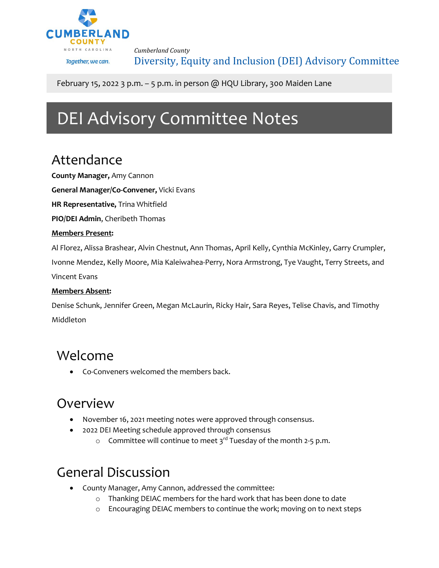

*Cumberland County* Diversity, Equity and Inclusion (DEI) Advisory Committee

February 15, 2022 3 p.m.  $-$  5 p.m. in person @ HQU Library, 300 Maiden Lane

# DEI Advisory Committee Notes

### Attendance

**County Manager,** Amy Cannon

**General Manager/Co-Convener,** Vicki Evans

**HR Representative,** Trina Whitfield

**PIO/DEI Admin**, Cheribeth Thomas

#### **Members Present:**

Al Florez, Alissa Brashear, Alvin Chestnut, Ann Thomas, April Kelly, Cynthia McKinley, Garry Crumpler, Ivonne Mendez, Kelly Moore, Mia Kaleiwahea-Perry, Nora Armstrong, Tye Vaught, Terry Streets, and Vincent Evans

#### **Members Absent:**

Denise Schunk, Jennifer Green, Megan McLaurin, Ricky Hair, Sara Reyes, Telise Chavis, and Timothy Middleton

#### Welcome

• Co-Conveners welcomed the members back.

#### Overview

- November 16, 2021 meeting notes were approved through consensus.
- 2022 DEI Meeting schedule approved through consensus
	- $\circ$  Committee will continue to meet 3<sup>rd</sup> Tuesday of the month 2-5 p.m.

### General Discussion

- County Manager, Amy Cannon, addressed the committee:
	- o Thanking DEIAC members for the hard work that has been done to date
	- o Encouraging DEIAC members to continue the work; moving on to next steps